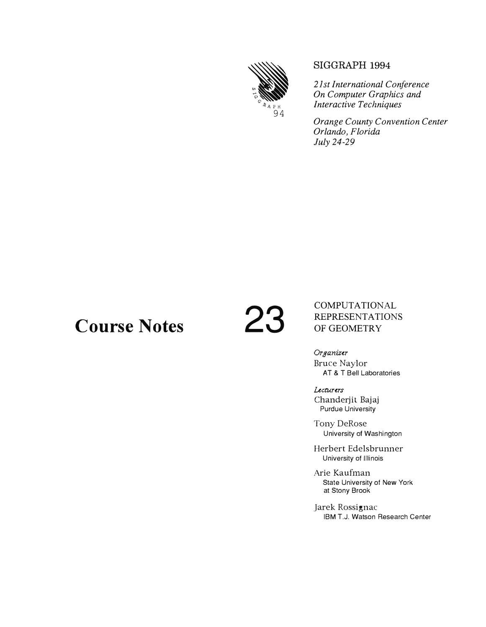

#### **SIGGRAPH 1994**

*21st International Conference On Computer Graphics and Interactive Techniques* 

*Orange County Convention Center Orlando, Florida July 24-29* 

# **Course Notes 23**

COMPUTATIONAL REPRESENTATIONS OF GEOMETRY

Organizer Bruce Naylor AT & T Bell Laboratories

Lecturers Chanderjit Bajaj Purdue University

Tony DeRose University of Washington

Herbert Edelsbrunner University of Illinois

Arie Kaufman State University of New York at Stony Brook

Jarek Rossignac IBM T.J. Watson Research Center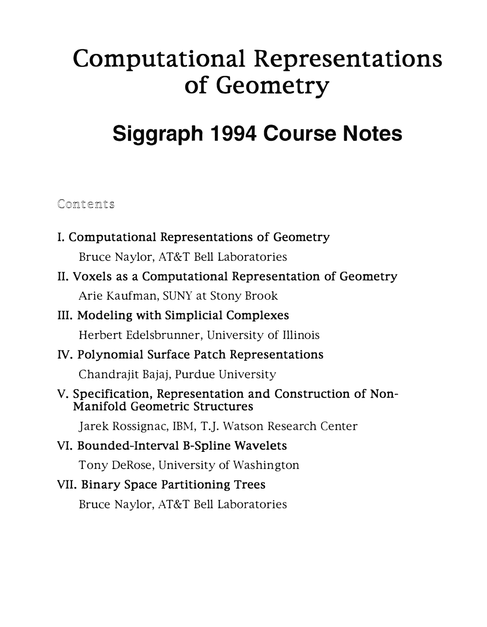# **Computational Representations of Geometry**

## **Siggraph 1994 Course Notes**

#### Contents

- I. Computational Representations of Geometry Bruce Naylor, AT&T Bell Laboratories
- II. Voxels as a Computational Representation of Geometry Arie Kaufman, SUNY at Stony Brook

## III. Modeling with Simplicial Complexes

Herbert Edelsbrunner, University of Illinois

#### IV. Polynomial Surface Patch Representations

Chandrajit Bajaj, Purdue University

#### V. Specification, Representation and Construction of Non-Manifold Geometric Structures

Jarek Rossignac, IBM, T.J. Watson Research Center

### VI. Bounded-Interval B-Spline Wavelets

Tony DeRose, University of Washington

#### VII. Binary Space Partitioning Trees

Bruce Naylor, AT&T Bell Laboratories